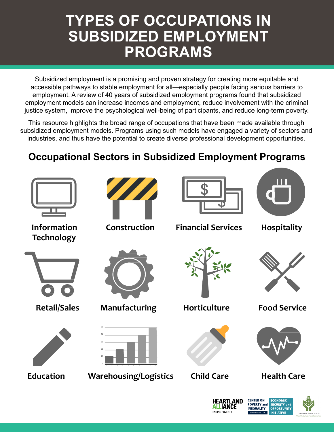## **TYPES OF OCCUPATIONS IN SUBSIDIZED EMPLOYMENT PROGRAMS**

Subsidized employment is a promising and proven strategy for creating more equitable and accessible pathways to stable employment for all—especially people facing serious barriers to employment. A review of 40 years of subsidized employment programs found that subsidized employment models can increase incomes and employment, reduce involvement with the criminal justice system, improve the psychological well-being of participants, and reduce long-term poverty.

This resource highlights the broad range of occupations that have been made available through subsidized employment models. Programs using such models have engaged a variety of sectors and industries, and thus have the potential to create diverse professional development opportunities.

## **Occupational Sectors in Subsidized Employment Programs**



**POVERTY and SECURITY and** 

**OPPORTUNITY** 

**INITIATIVE** 

**INEQUALITY** 

**IANCE** 

**ENDING POVERTY**